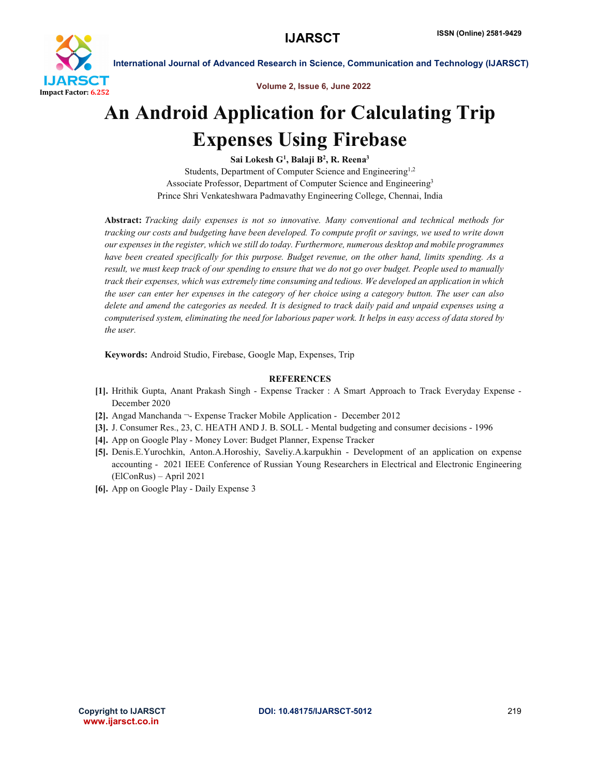

International Journal of Advanced Research in Science, Communication and Technology (IJARSCT)

Volume 2, Issue 6, June 2022

## An Android Application for Calculating Trip Expenses Using Firebase

Sai Lokesh  $\mathrm{G}^1,$  Balaji B $^2,$  R. Reena $^3$ Students, Department of Computer Science and Engineering<sup>1,2</sup> Associate Professor, Department of Computer Science and Engineering<sup>3</sup> Prince Shri Venkateshwara Padmavathy Engineering College, Chennai, India

Abstract: *Tracking daily expenses is not so innovative. Many conventional and technical methods for tracking our costs and budgeting have been developed. To compute profit or savings, we used to write down our expenses in the register, which we still do today. Furthermore, numerous desktop and mobile programmes have been created specifically for this purpose. Budget revenue, on the other hand, limits spending. As a result, we must keep track of our spending to ensure that we do not go over budget. People used to manually track their expenses, which was extremely time consuming and tedious. We developed an application in which the user can enter her expenses in the category of her choice using a category button. The user can also delete and amend the categories as needed. It is designed to track daily paid and unpaid expenses using a computerised system, eliminating the need for laborious paper work. It helps in easy access of data stored by the user.*

Keywords: Android Studio, Firebase, Google Map, Expenses, Trip

## **REFERENCES**

- [1]. Hrithik Gupta, Anant Prakash Singh Expense Tracker : A Smart Approach to Track Everyday Expense December 2020
- [2]. Angad Manchanda ¬- Expense Tracker Mobile Application December 2012
- [3]. J. Consumer Res., 23, C. HEATH AND J. B. SOLL Mental budgeting and consumer decisions 1996
- [4]. App on Google Play Money Lover: Budget Planner, Expense Tracker
- [5]. Denis.E.Yurochkin, Anton.A.Horoshiy, Saveliy.A.karpukhin Development of an application on expense accounting - 2021 IEEE Conference of Russian Young Researchers in Electrical and Electronic Engineering (ElConRus) – April 2021
- [6]. App on Google Play Daily Expense 3